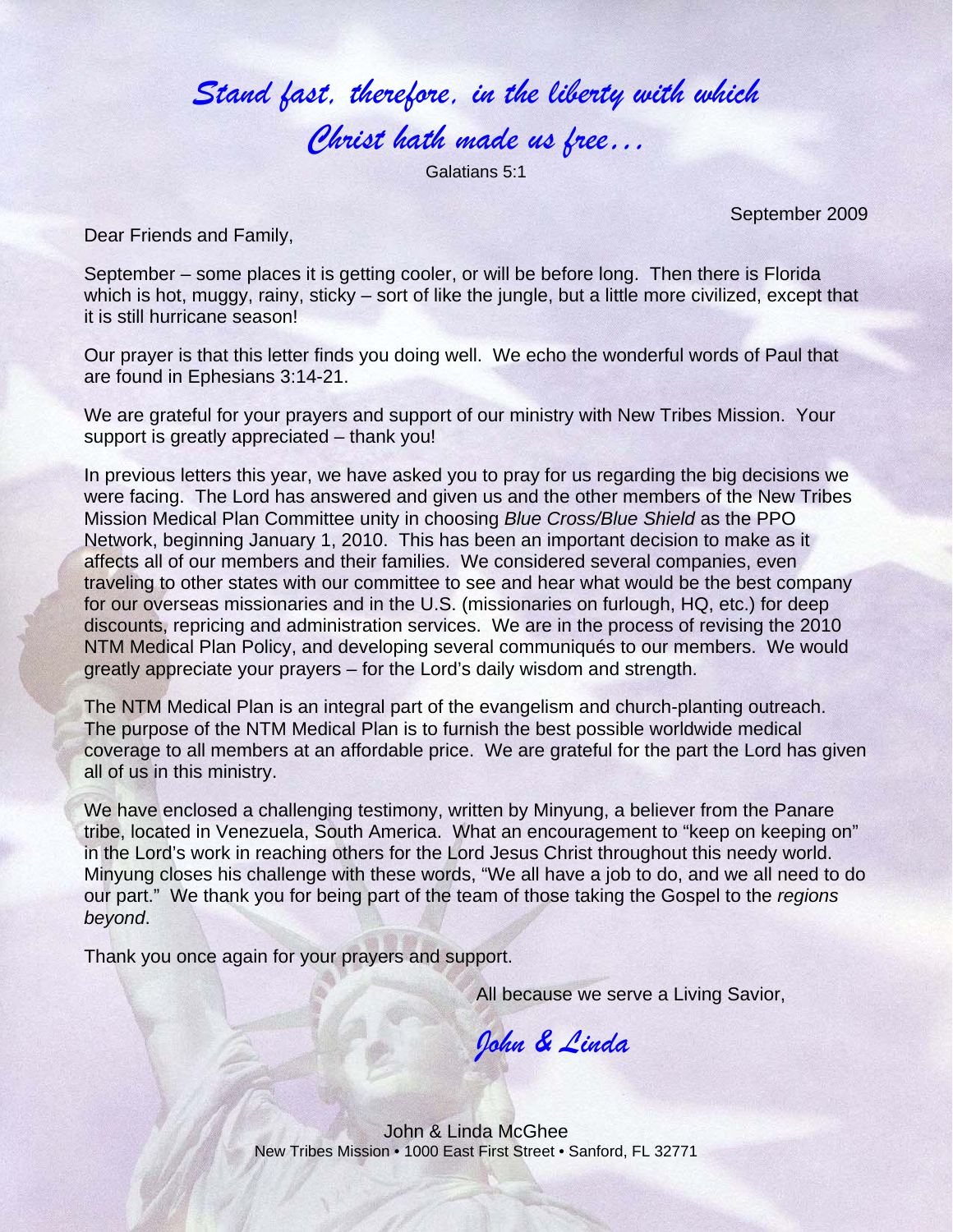## *Stand fast, therefore, in the liberty with which Christ hath made us free…*

Galatians 5:1

September 2009

Dear Friends and Family,

September – some places it is getting cooler, or will be before long. Then there is Florida which is hot, muggy, rainy, sticky – sort of like the jungle, but a little more civilized, except that it is still hurricane season!

Our prayer is that this letter finds you doing well. We echo the wonderful words of Paul that are found in Ephesians 3:14-21.

We are grateful for your prayers and support of our ministry with New Tribes Mission. Your support is greatly appreciated – thank you!

In previous letters this year, we have asked you to pray for us regarding the big decisions we were facing. The Lord has answered and given us and the other members of the New Tribes Mission Medical Plan Committee unity in choosing *Blue Cross/Blue Shield* as the PPO Network, beginning January 1, 2010. This has been an important decision to make as it affects all of our members and their families. We considered several companies, even traveling to other states with our committee to see and hear what would be the best company for our overseas missionaries and in the U.S. (missionaries on furlough, HQ, etc.) for deep discounts, repricing and administration services. We are in the process of revising the 2010 NTM Medical Plan Policy, and developing several communiqués to our members. We would greatly appreciate your prayers – for the Lord's daily wisdom and strength.

The NTM Medical Plan is an integral part of the evangelism and church-planting outreach. The purpose of the NTM Medical Plan is to furnish the best possible worldwide medical coverage to all members at an affordable price. We are grateful for the part the Lord has given all of us in this ministry.

We have enclosed a challenging testimony, written by Minyung, a believer from the Panare tribe, located in Venezuela, South America. What an encouragement to "keep on keeping on" in the Lord's work in reaching others for the Lord Jesus Christ throughout this needy world. Minyung closes his challenge with these words, "We all have a job to do, and we all need to do our part." We thank you for being part of the team of those taking the Gospel to the *regions beyond*.

Thank you once again for your prayers and support.

All because we serve a Living Savior,

*John & Linda* 

John & Linda McGhee New Tribes Mission • 1000 East First Street • Sanford, FL 32771